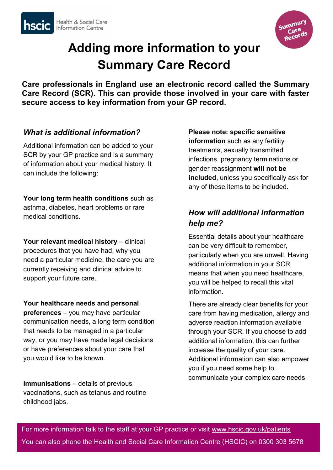



# **Adding more information to your Summary Care Record**

**Care professionals in England use an electronic record called the Summary Care Record (SCR). This can provide those involved in your care with faster secure access to key information from your GP record.**

### *What is additional information?*

Additional information can be added to your SCR by your GP practice and is a summary of information about your medical history. It can include the following:

**Your long term health conditions** such as asthma, diabetes, heart problems or rare medical conditions.

Your relevant medical history - clinical procedures that you have had, why you need a particular medicine, the care you are currently receiving and clinical advice to support your future care.

**Your healthcare needs and personal preferences** – you may have particular communication needs, a long term condition that needs to be managed in a particular way, or you may have made legal decisions or have preferences about your care that you would like to be known.

**Immunisations** – details of previous vaccinations, such as tetanus and routine childhood jabs.

**Please note: specific sensitive information** such as any fertility treatments, sexually transmitted infections, pregnancy terminations or gender reassignment **will not be included**, unless you specifically ask for any of these items to be included.

## *How will additional information help me?*

Essential details about your healthcare can be very difficult to remember, particularly when you are unwell. Having additional information in your SCR means that when you need healthcare, you will be helped to recall this vital information.

There are already clear benefits for your care from having medication, allergy and adverse reaction information available through your SCR. If you choose to add additional information, this can further increase the quality of your care. Additional information can also empower you if you need some help to communicate your complex care needs.

For more information talk to the staff at your GP practice or visit www.hscic.gov.uk/patients You can also phone the Health and Social Care Information Centre (HSCIC) on 0300 303 5678